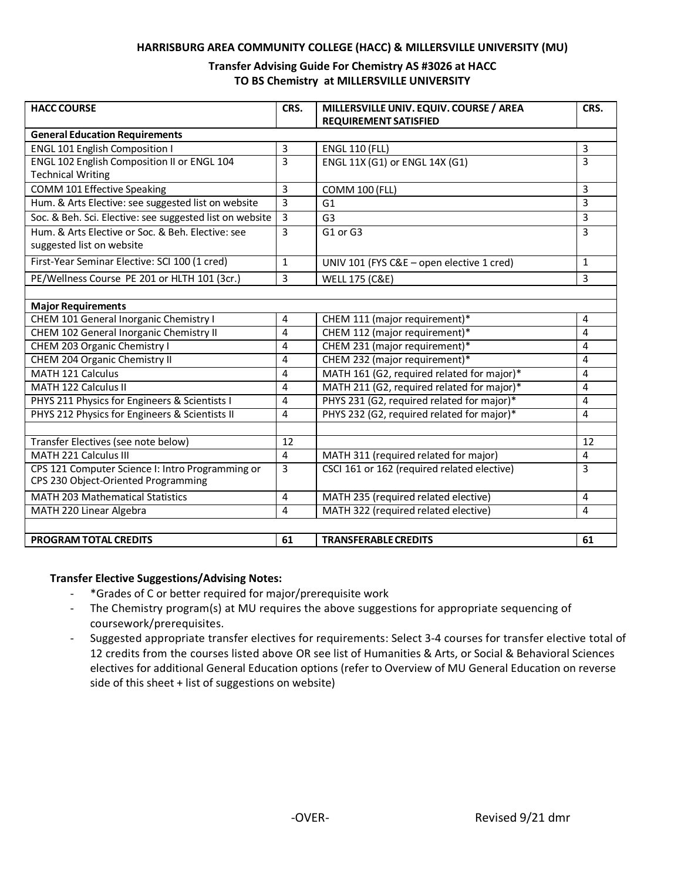#### **HARRISBURG AREA COMMUNITY COLLEGE (HACC) & MILLERSVILLE UNIVERSITY (MU)**

### **Transfer Advising Guide For Chemistry AS #3026 at HACC TO BS Chemistry at MILLERSVILLE UNIVERSITY**

| <b>HACC COURSE</b>                                       | CRS.           | MILLERSVILLE UNIV. EQUIV. COURSE / AREA<br><b>REQUIREMENT SATISFIED</b> | CRS.           |
|----------------------------------------------------------|----------------|-------------------------------------------------------------------------|----------------|
| <b>General Education Requirements</b>                    |                |                                                                         |                |
| <b>ENGL 101 English Composition I</b>                    | 3              | <b>ENGL 110 (FLL)</b>                                                   | 3              |
| ENGL 102 English Composition II or ENGL 104              | $\overline{3}$ | ENGL 11X (G1) or ENGL 14X (G1)                                          | $\overline{3}$ |
| <b>Technical Writing</b>                                 |                |                                                                         |                |
| COMM 101 Effective Speaking                              | 3              | <b>COMM 100 (FLL)</b>                                                   | 3              |
| Hum. & Arts Elective: see suggested list on website      | 3              | G1                                                                      | 3              |
| Soc. & Beh. Sci. Elective: see suggested list on website | 3              | G <sub>3</sub>                                                          | 3              |
| Hum, & Arts Elective or Soc. & Beh. Elective: see        | 3              | G1 or G3                                                                | 3              |
| suggested list on website                                |                |                                                                         |                |
| First-Year Seminar Elective: SCI 100 (1 cred)            | 1              | UNIV 101 (FYS C&E - open elective 1 cred)                               | 1              |
| PE/Wellness Course PE 201 or HLTH 101 (3cr.)             | 3              | <b>WELL 175 (C&amp;E)</b>                                               | 3              |
|                                                          |                |                                                                         |                |
| <b>Major Requirements</b>                                |                |                                                                         |                |
| CHEM 101 General Inorganic Chemistry I                   | 4              | CHEM 111 (major requirement)*                                           | 4              |
| CHEM 102 General Inorganic Chemistry II                  | 4              | CHEM 112 (major requirement)*                                           | 4              |
| CHEM 203 Organic Chemistry I                             | 4              | CHEM 231 (major requirement)*                                           | 4              |
| CHEM 204 Organic Chemistry II                            | 4              | CHEM 232 (major requirement)*                                           | 4              |
| <b>MATH 121 Calculus</b>                                 | 4              | MATH 161 (G2, required related for major)*                              | 4              |
| MATH 122 Calculus II                                     | 4              | MATH 211 (G2, required related for major)*                              | 4              |
| PHYS 211 Physics for Engineers & Scientists I            | 4              | PHYS 231 (G2, required related for major)*                              | 4              |
| PHYS 212 Physics for Engineers & Scientists II           | 4              | PHYS 232 (G2, required related for major)*                              | 4              |
|                                                          |                |                                                                         |                |
| Transfer Electives (see note below)                      | 12             |                                                                         | 12             |
| MATH 221 Calculus III                                    | 4              | MATH 311 (required related for major)                                   | 4              |
| CPS 121 Computer Science I: Intro Programming or         | 3              | CSCI 161 or 162 (required related elective)                             | 3              |
| CPS 230 Object-Oriented Programming                      |                |                                                                         |                |
| <b>MATH 203 Mathematical Statistics</b>                  | 4              | MATH 235 (required related elective)                                    | 4              |
| MATH 220 Linear Algebra                                  | 4              | MATH 322 (required related elective)                                    | 4              |
|                                                          |                |                                                                         |                |
| <b>PROGRAM TOTAL CREDITS</b>                             | 61             | <b>TRANSFERABLE CREDITS</b>                                             | 61             |

### **Transfer Elective Suggestions/Advising Notes:**

- \*Grades of C or better required for major/prerequisite work
- The Chemistry program(s) at MU requires the above suggestions for appropriate sequencing of coursework/prerequisites.
- Suggested appropriate transfer electives for requirements: Select 3-4 courses for transfer elective total of 12 credits from the courses listed above OR see list of Humanities & Arts, or Social & Behavioral Sciences electives for additional General Education options (refer to Overview of MU General Education on reverse side of this sheet + list of suggestions on website)